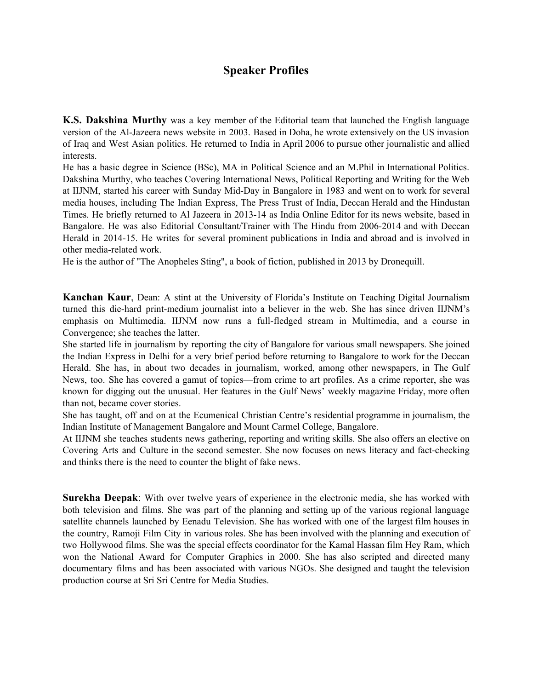## **Speaker Profiles**

**K.S. Dakshina Murthy** was a key member of the Editorial team that launched the English language version of the Al-Jazeera news website in 2003. Based in Doha, he wrote extensively on the US invasion of Iraq and West Asian politics. He returned to India in April 2006 to pursue other journalistic and allied interests.

He has a basic degree in Science (BSc), MA in Political Science and an M.Phil in International Politics. Dakshina Murthy, who teaches Covering International News, Political Reporting and Writing for the Web at IIJNM, started his career with Sunday Mid-Day in Bangalore in 1983 and went on to work for several media houses, including The Indian Express, The Press Trust of India, Deccan Herald and the Hindustan Times. He briefly returned to Al Jazeera in 2013-14 as India Online Editor for its news website, based in Bangalore. He was also Editorial Consultant/Trainer with The Hindu from 2006-2014 and with Deccan Herald in 2014-15. He writes for several prominent publications in India and abroad and is involved in other media-related work.

He is the author of "The Anopheles Sting", a book of fiction, published in 2013 by Dronequill.

**Kanchan Kaur**, Dean: A stint at the University of Florida's Institute on Teaching Digital Journalism turned this die-hard print-medium journalist into a believer in the web. She has since driven IIJNM's emphasis on Multimedia. IIJNM now runs a full-fledged stream in Multimedia, and a course in Convergence; she teaches the latter.

She started life in journalism by reporting the city of Bangalore for various small newspapers. She joined the Indian Express in Delhi for a very brief period before returning to Bangalore to work for the Deccan Herald. She has, in about two decades in journalism, worked, among other newspapers, in The Gulf News, too. She has covered a gamut of topics—from crime to art profiles. As a crime reporter, she was known for digging out the unusual. Her features in the Gulf News' weekly magazine Friday, more often than not, became cover stories.

She has taught, off and on at the Ecumenical Christian Centre's residential programme in journalism, the Indian Institute of Management Bangalore and Mount Carmel College, Bangalore.

At IIJNM she teaches students news gathering, reporting and writing skills. She also offers an elective on Covering Arts and Culture in the second semester. She now focuses on news literacy and fact-checking and thinks there is the need to counter the blight of fake news.

**Surekha Deepak**: With over twelve years of experience in the electronic media, she has worked with both television and films. She was part of the planning and setting up of the various regional language satellite channels launched by Eenadu Television. She has worked with one of the largest film houses in the country, Ramoji Film City in various roles. She has been involved with the planning and execution of two Hollywood films. She was the special effects coordinator for the Kamal Hassan film Hey Ram, which won the National Award for Computer Graphics in 2000. She has also scripted and directed many documentary films and has been associated with various NGOs. She designed and taught the television production course at Sri Sri Centre for Media Studies.